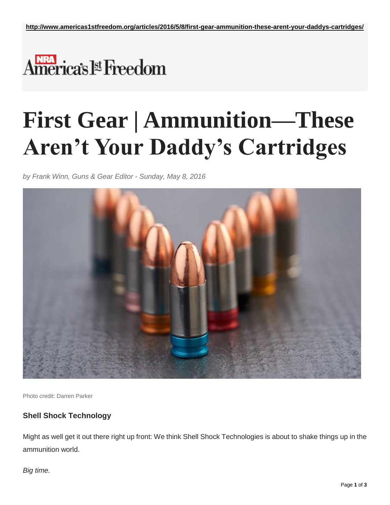## America's l<sup>st</sup> Freedom

## **First Gear | Ammunition—These Aren't Your Daddy's Cartridges**

*by Frank Winn, Guns & Gear Editor - Sunday, May 8, 2016*



Photo credit: Darren Parker

## **Shell Shock Technology**

Might as well get it out there right up front: We think Shell Shock Technologies is about to shake things up in the ammunition world.

## *Big time.*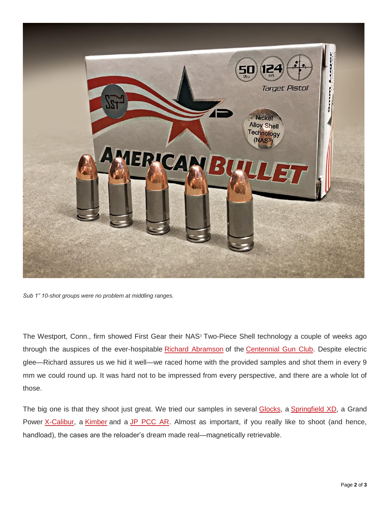

*Sub 1" 10-shot groups were no problem at middling ranges.*

The Westport, Conn., firm showed First Gear their NAS<sup>3</sup> Two-Piece Shell technology a couple of weeks ago through the auspices of the ever-hospitable [Richard Abramson](http://www.americas1stfreedom.org/articles/2016/4/20/active-shooter-response-training-goes-live/) of the [Centennial Gun Club.](http://www.centennialgunclub.com/) Despite electric glee—Richard assures us we hid it well—we raced home with the provided samples and shot them in every 9 mm we could round up. It was hard not to be impressed from every perspective, and there are a whole lot of those.

The big one is that they shoot just great. We tried our samples in several [Glocks,](http://www.americas1stfreedom.org/articles/2016/4/1/mos-definitely/) a [Springfield XD,](http://www.springfield-armory.com/products/xd-service-model-9mm/) a Grand Power [X-Calibur,](http://www.grandpower.eu/kategoria-14-clanok-22-detail-x-calibur-#ad-image-0) a [Kimber](http://www.kimberamerica.com/stainless-raptor-ii-45acp) and a [JP PCC AR.](https://www.jprifles.com/1.2.13_GMR-13.php) Almost as important, if you really like to shoot (and hence, handload), the cases are the reloader's dream made real—magnetically retrievable.